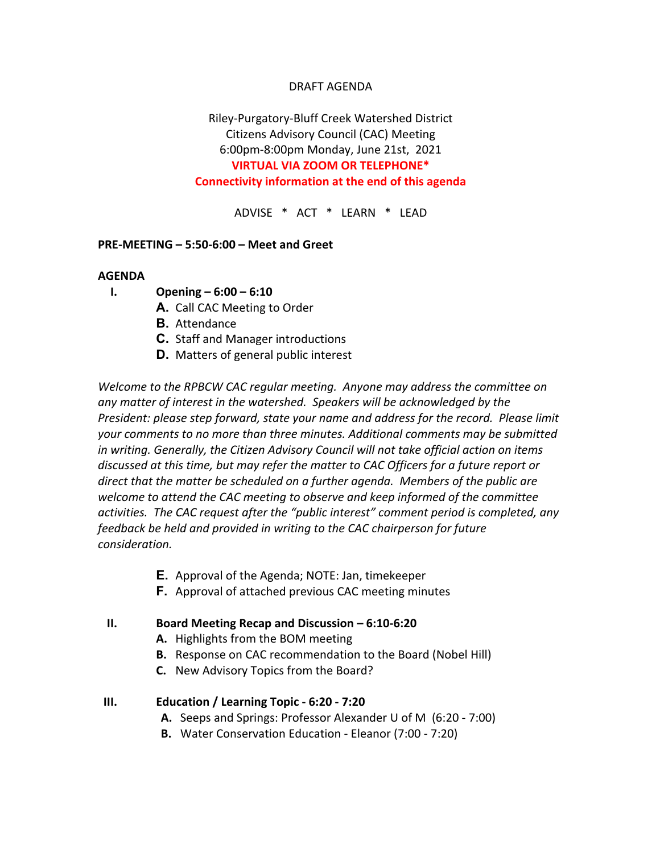### DRAFT AGENDA

## Riley-Purgatory-Bluff Creek Watershed District Citizens Advisory Council (CAC) Meeting 6:00pm-8:00pm Monday, June 21st, 2021 **VIRTUAL VIA ZOOM OR TELEPHONE\* Connectivity information at the end of this agenda**

ADVISE \* ACT \* LEARN \* LEAD

#### **PRE-MEETING – 5:50-6:00 – Meet and Greet**

#### **AGENDA**

- **I. Opening – 6:00 – 6:10**
	- **A.** Call CAC Meeting to Order
	- **B.** Attendance
	- **C.** Staff and Manager introductions
	- **D.** Matters of general public interest

*Welcome to the RPBCW CAC regular meeting. Anyone may address the committee on any matter of interest in the watershed. Speakers will be acknowledged by the President: please step forward, state your name and address for the record. Please limit your comments to no more than three minutes. Additional comments may be submitted in writing. Generally, the Citizen Advisory Council will not take official action on items discussed at this time, but may refer the matter to CAC Officers for a future report or direct that the matter be scheduled on a further agenda. Members of the public are welcome to attend the CAC meeting to observe and keep informed of the committee activities. The CAC request after the "public interest" comment period is completed, any feedback be held and provided in writing to the CAC chairperson for future consideration.*

- **E.** Approval of the Agenda; NOTE: Jan, timekeeper
- **F.** Approval of attached previous CAC meeting minutes

#### **II. Board Meeting Recap and Discussion – 6:10-6:20**

- **A.** Highlights from the BOM meeting
- **B.** Response on CAC recommendation to the Board (Nobel Hill)
- **C.** New Advisory Topics from the Board?

#### **III. Education / Learning Topic - 6:20 - 7:20**

- **A.** Seeps and Springs: Professor Alexander U of M (6:20 7:00)
- **B.** Water Conservation Education Eleanor (7:00 7:20)